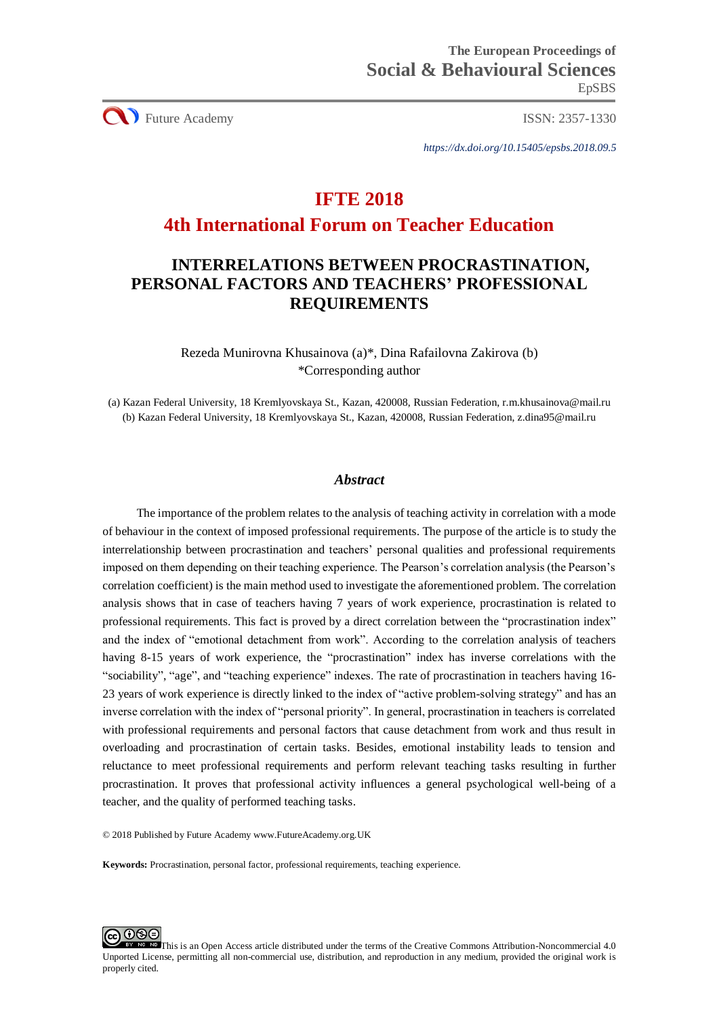**CO** Future Academy ISSN: 2357-1330

*https://dx.doi.org/10.15405/epsbs.2018.09.5*

# **IFTE 2018**

## **4th International Forum on Teacher Education**

# **INTERRELATIONS BETWEEN PROCRASTINATION, PERSONAL FACTORS AND TEACHERS' PROFESSIONAL REQUIREMENTS**

Rezeda Munirovna Khusainova (a)\*, Dina Rafailovna Zakirova (b) \*Corresponding author

(a) Kazan Federal University, 18 Kremlyovskaya St., Kazan, 420008, Russian Federation, [r.m.khusainova@mail.ru](mailto:r.m.khusainova@mail.ru) (b) Kazan Federal University, 18 Kremlyovskaya St., Kazan, 420008, Russian Federation, [z.dina95@mail.ru](mailto:z.dina95@mail.ru)

## *Abstract*

The importance of the problem relates to the analysis of teaching activity in correlation with a mode of behaviour in the context of imposed professional requirements. The purpose of the article is to study the interrelationship between procrastination and teachers' personal qualities and professional requirements imposed on them depending on their teaching experience. The Pearson's correlation analysis (the Pearson's correlation coefficient) is the main method used to investigate the aforementioned problem. The correlation analysis shows that in case of teachers having 7 years of work experience, procrastination is related to professional requirements. This fact is proved by a direct correlation between the "procrastination index" and the index of "emotional detachment from work". According to the correlation analysis of teachers having 8-15 years of work experience, the "procrastination" index has inverse correlations with the "sociability", "age", and "teaching experience" indexes. The rate of procrastination in teachers having 16- 23 years of work experience is directly linked to the index of "active problem-solving strategy" and has an inverse correlation with the index of "personal priority". In general, procrastination in teachers is correlated with professional requirements and personal factors that cause detachment from work and thus result in overloading and procrastination of certain tasks. Besides, emotional instability leads to tension and reluctance to meet professional requirements and perform relevant teaching tasks resulting in further procrastination. It proves that professional activity influences a general psychological well-being of a teacher, and the quality of performed teaching tasks.

© 2018 Published by Future Academy www.FutureAcademy.org.UK

**Keywords:** Procrastination, personal factor, professional requirements, teaching experience.

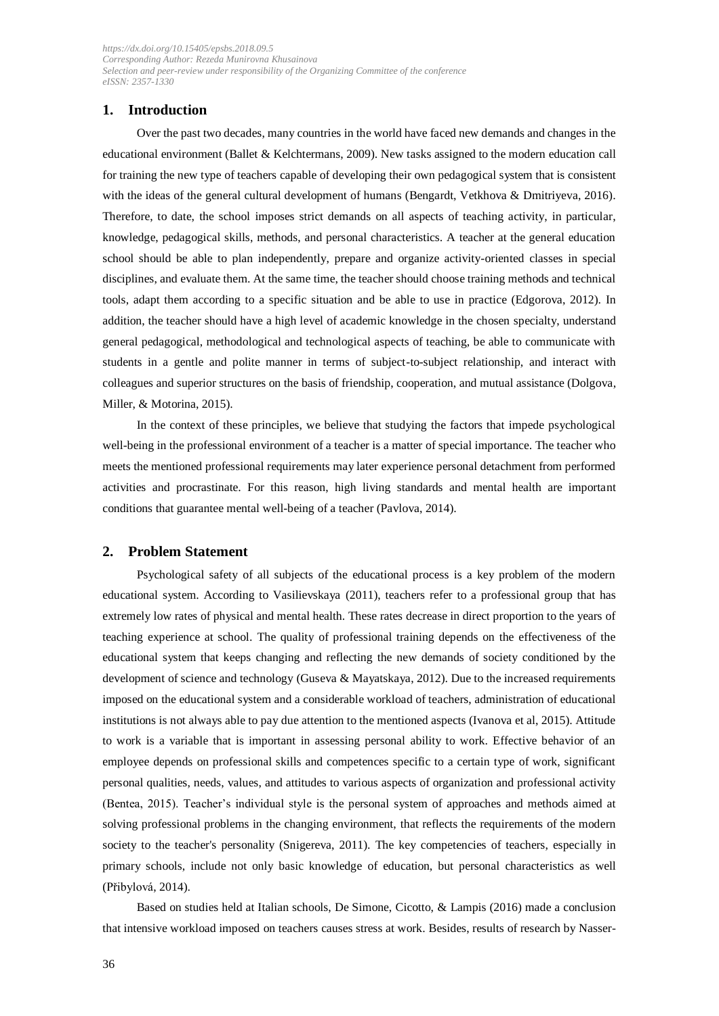## **1. Introduction**

Over the past two decades, many countries in the world have faced new demands and changes in the educational environment (Ballet & Kelchtermans, 2009). New tasks assigned to the modern education call for training the new type of teachers capable of developing their own pedagogical system that is consistent with the ideas of the general cultural development of humans (Bengardt, Vetkhova & Dmitriyeva, 2016). Therefore, to date, the school imposes strict demands on all aspects of teaching activity, in particular, knowledge, pedagogical skills, methods, and personal characteristics. A teacher at the general education school should be able to plan independently, prepare and organize activity-oriented classes in special disciplines, and evaluate them. At the same time, the teacher should choose training methods and technical tools, adapt them according to a specific situation and be able to use in practice (Edgorova, 2012). In addition, the teacher should have a high level of academic knowledge in the chosen specialty, understand general pedagogical, methodological and technological aspects of teaching, be able to communicate with students in a gentle and polite manner in terms of subject-to-subject relationship, and interact with colleagues and superior structures on the basis of friendship, cooperation, and mutual assistance (Dolgova, Miller, & Motorina, 2015).

In the context of these principles, we believe that studying the factors that impede psychological well-being in the professional environment of a teacher is a matter of special importance. The teacher who meets the mentioned professional requirements may later experience personal detachment from performed activities and procrastinate. For this reason, high living standards and mental health are important conditions that guarantee mental well-being of a teacher (Pavlova, 2014).

### **2. Problem Statement**

Psychological safety of all subjects of the educational process is a key problem of the modern educational system. According to Vasilievskaya (2011), teachers refer to a professional group that has extremely low rates of physical and mental health. These rates decrease in direct proportion to the years of teaching experience at school. The quality of professional training depends on the effectiveness of the educational system that keeps changing and reflecting the new demands of society conditioned by the development of science and technology (Guseva & Mayatskaya, 2012). Due to the increased requirements imposed on the educational system and a considerable workload of teachers, administration of educational institutions is not always able to pay due attention to the mentioned aspects (Ivanova et al, 2015). Attitude to work is a variable that is important in assessing personal ability to work. Effective behavior of an employee depends on professional skills and competences specific to a certain type of work, significant personal qualities, needs, values, and attitudes to various aspects of organization and professional activity (Bentea, 2015). Teacher's individual style is the personal system of approaches and methods aimed at solving professional problems in the changing environment, that reflects the requirements of the modern society to the teacher's personality (Snigereva, 2011). The key competencies of teachers, especially in primary schools, include not only basic knowledge of education, but personal characteristics as well (Přibylová, 2014).

Based on studies held at Italian schools, De Simone, Cicotto, & Lampis (2016) made a conclusion that intensive workload imposed on teachers causes stress at work. Besides, results of research by Nasser-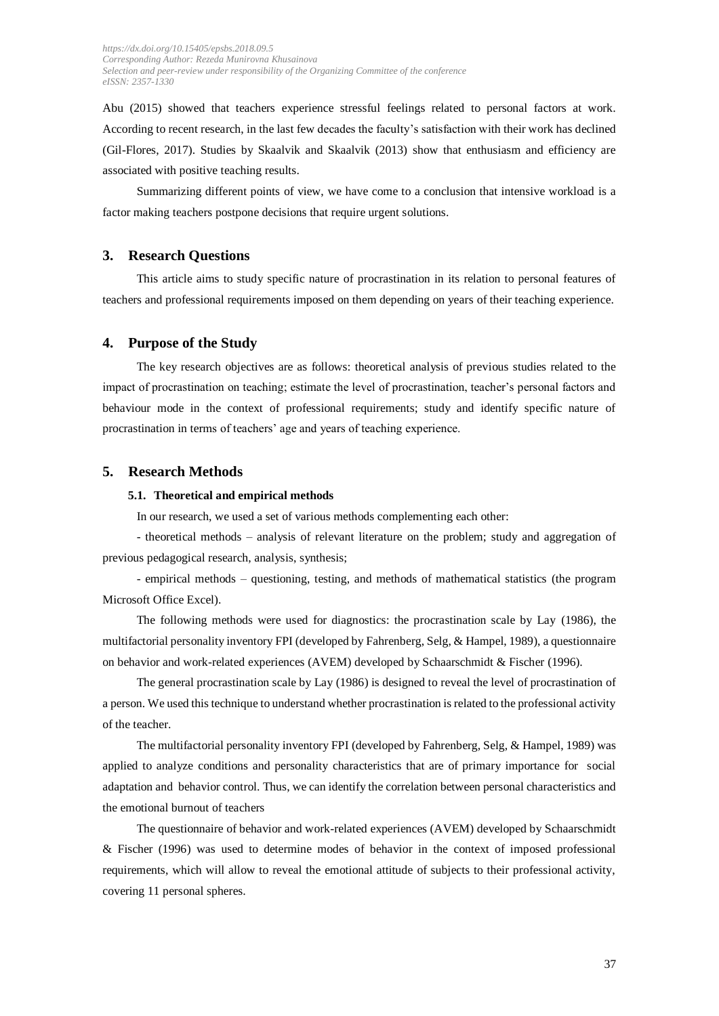Abu (2015) showed that teachers experience stressful feelings related to personal factors at work. According to recent research, in the last few decades the faculty's satisfaction with their work has declined (Gil-Flores, 2017). Studies by Skaalvik and Skaalvik (2013) show that enthusiasm and efficiency are associated with positive teaching results.

Summarizing different points of view, we have come to a conclusion that intensive workload is a factor making teachers postpone decisions that require urgent solutions.

#### **3. Research Questions**

This article aims to study specific nature of procrastination in its relation to personal features of teachers and professional requirements imposed on them depending on years of their teaching experience.

### **4. Purpose of the Study**

The key research objectives are as follows: theoretical analysis of previous studies related to the impact of procrastination on teaching; estimate the level of procrastination, teacher's personal factors and behaviour mode in the context of professional requirements; study and identify specific nature of procrastination in terms of teachers' age and years of teaching experience.

## **5. Research Methods**

#### **5.1. Theoretical and empirical methods**

In our research, we used a set of various methods complementing each other:

- theoretical methods – analysis of relevant literature on the problem; study and aggregation of previous pedagogical research, analysis, synthesis;

- empirical methods – questioning, testing, and methods of mathematical statistics (the program Microsoft Office Excel).

The following methods were used for diagnostics: the procrastination scale by Lay (1986), the multifactorial personality inventory FPI (developed by Fahrenberg, Selg, & Hampel, 1989), a questionnaire on behavior and work-related experiences (AVEM) developed by Schaarschmidt & Fischer (1996).

The general procrastination scale by Lay (1986) is designed to reveal the level of procrastination of a person. We used this technique to understand whether procrastination is related to the professional activity of the teacher.

The multifactorial personality inventory FPI (developed by Fahrenberg, Selg, & Hampel, 1989) was applied to analyze conditions and personality characteristics that are of primary importance for social adaptation and behavior control. Thus, we can identify the correlation between personal characteristics and the emotional burnout of teachers

The questionnaire of behavior and work-related experiences (AVEM) developed by Schaarschmidt & Fischer (1996) was used to determine modes of behavior in the context of imposed professional requirements, which will allow to reveal the emotional attitude of subjects to their professional activity, covering 11 personal spheres.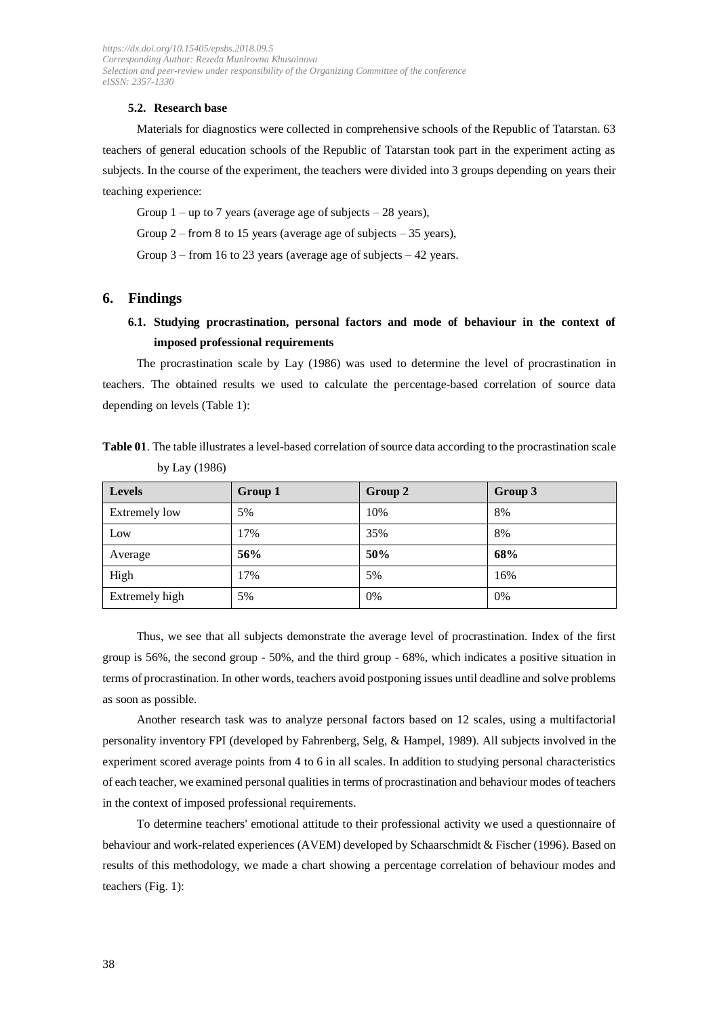#### **5.2. Research base**

Materials for diagnostics were collected in comprehensive schools of the Republic of Tatarstan. 63 teachers of general education schools of the Republic of Tatarstan took part in the experiment acting as subjects. In the course of the experiment, the teachers were divided into 3 groups depending on years their teaching experience:

Group  $1 - up$  to 7 years (average age of subjects  $-28$  years),

Group 2 – from 8 to 15 years (average age of subjects  $-35$  years),

Group 3 – from 16 to 23 years (average age of subjects – 42 years.

### **6. Findings**

## **6.1. Studying procrastination, personal factors and mode of behaviour in the context of imposed professional requirements**

The procrastination scale by Lay (1986) was used to determine the level of procrastination in teachers. The obtained results we used to calculate the percentage-based correlation of source data depending on levels (Table 1):

| Table 01. The table illustrates a level-based correlation of source data according to the procrastination scale |  |  |
|-----------------------------------------------------------------------------------------------------------------|--|--|
| by Lay $(1986)$                                                                                                 |  |  |

| <b>Levels</b>        | Group 1 | Group 2 | Group 3 |
|----------------------|---------|---------|---------|
| <b>Extremely low</b> | 5%      | 10%     | 8%      |
| Low                  | 17%     | 35%     | 8%      |
| Average              | 56%     | 50%     | 68%     |
| High                 | 17%     | 5%      | 16%     |
| Extremely high       | 5%      | 0%      | 0%      |

Thus, we see that all subjects demonstrate the average level of procrastination. Index of the first group is 56%, the second group - 50%, and the third group - 68%, which indicates a positive situation in terms of procrastination. In other words, teachers avoid postponing issues until deadline and solve problems as soon as possible.

Another research task was to analyze personal factors based on 12 scales, using a multifactorial personality inventory FPI (developed by Fahrenberg, Selg, & Hampel, 1989). All subjects involved in the experiment scored average points from 4 to 6 in all scales. In addition to studying personal characteristics of each teacher, we examined personal qualities in terms of procrastination and behaviour modes of teachers in the context of imposed professional requirements.

To determine teachers' emotional attitude to their professional activity we used a questionnaire of behaviour and work-related experiences (AVEM) developed by Schaarschmidt & Fischer (1996). Based on results of this methodology, we made a chart showing a percentage correlation of behaviour modes and teachers (Fig. 1):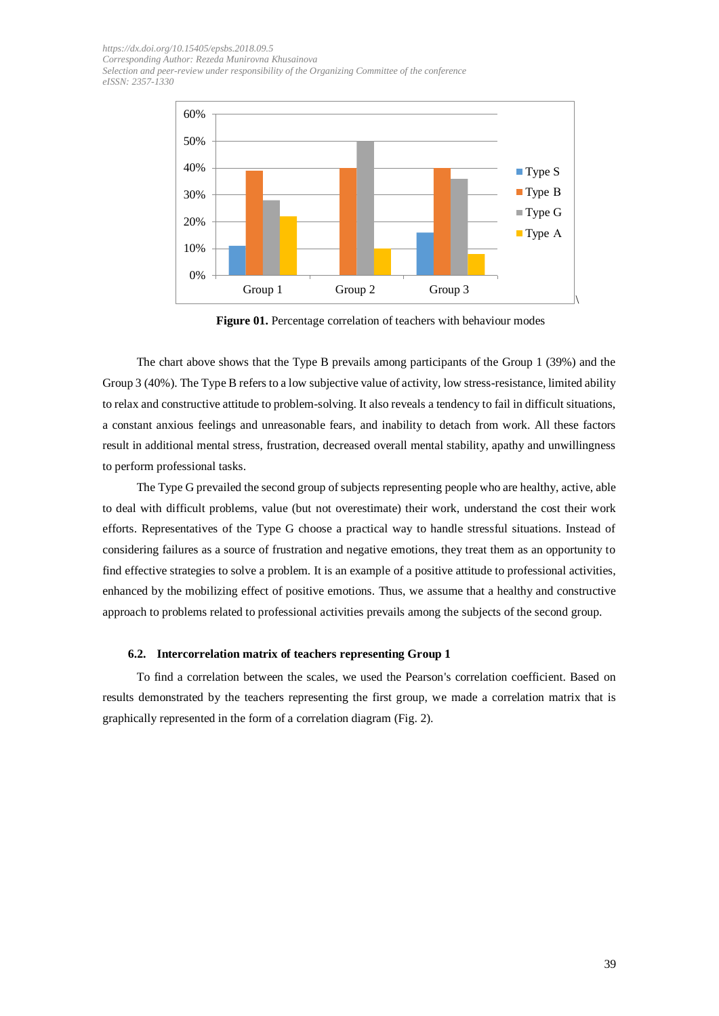

**Figure 01.** Percentage correlation of teachers with behaviour modes

The chart above shows that the Type B prevails among participants of the Group 1 (39%) and the Group 3 (40%). The Type B refers to a low subjective value of activity, low stress-resistance, limited ability to relax and constructive attitude to problem-solving. It also reveals a tendency to fail in difficult situations, a constant anxious feelings and unreasonable fears, and inability to detach from work. All these factors result in additional mental stress, frustration, decreased overall mental stability, apathy and unwillingness to perform professional tasks.

The Type G prevailed the second group of subjects representing people who are healthy, active, able to deal with difficult problems, value (but not overestimate) their work, understand the cost their work efforts. Representatives of the Type G choose a practical way to handle stressful situations. Instead of considering failures as a source of frustration and negative emotions, they treat them as an opportunity to find effective strategies to solve a problem. It is an example of a positive attitude to professional activities, enhanced by the mobilizing effect of positive emotions. Thus, we assume that a healthy and constructive approach to problems related to professional activities prevails among the subjects of the second group.

#### **6.2. Intercorrelation matrix of teachers representing Group 1**

To find a correlation between the scales, we used the Pearson's correlation coefficient. Based on results demonstrated by the teachers representing the first group, we made a correlation matrix that is graphically represented in the form of a correlation diagram (Fig. 2).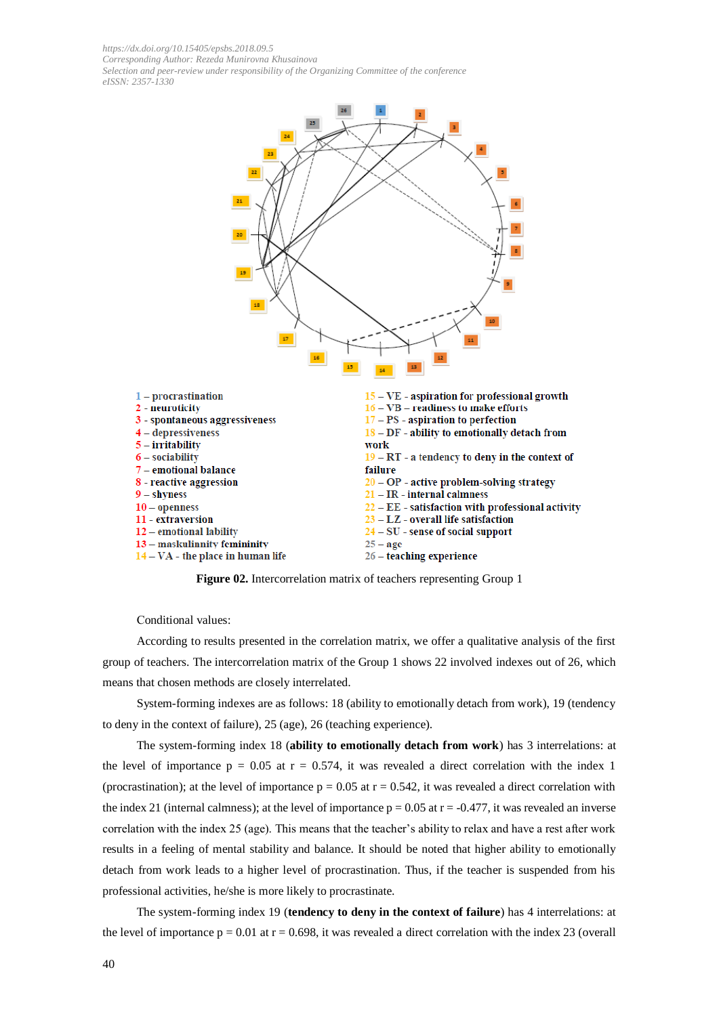

**Figure 02.** Intercorrelation matrix of teachers representing Group 1

Сonditional values:

According to results presented in the correlation matrix, we offer a qualitative analysis of the first group of teachers. The intercorrelation matrix of the Group 1 shows 22 involved indexes out of 26, which means that chosen methods are closely interrelated.

System-forming indexes are as follows: 18 (ability to emotionally detach from work), 19 (tendency to deny in the context of failure), 25 (age), 26 (teaching experience).

The system-forming index 18 (**ability to emotionally detach from work**) has 3 interrelations: at the level of importance  $p = 0.05$  at  $r = 0.574$ , it was revealed a direct correlation with the index 1 (procrastination); at the level of importance  $p = 0.05$  at  $r = 0.542$ , it was revealed a direct correlation with the index 21 (internal calmness); at the level of importance  $p = 0.05$  at  $r = -0.477$ , it was revealed an inverse correlation with the index 25 (age). This means that the teacher's ability to relax and have a rest after work results in a feeling of mental stability and balance. It should be noted that higher ability to emotionally detach from work leads to a higher level of procrastination. Thus, if the teacher is suspended from his professional activities, he/she is more likely to procrastinate.

The system-forming index 19 (**tendency to deny in the context of failure**) has 4 interrelations: at the level of importance  $p = 0.01$  at  $r = 0.698$ , it was revealed a direct correlation with the index 23 (overall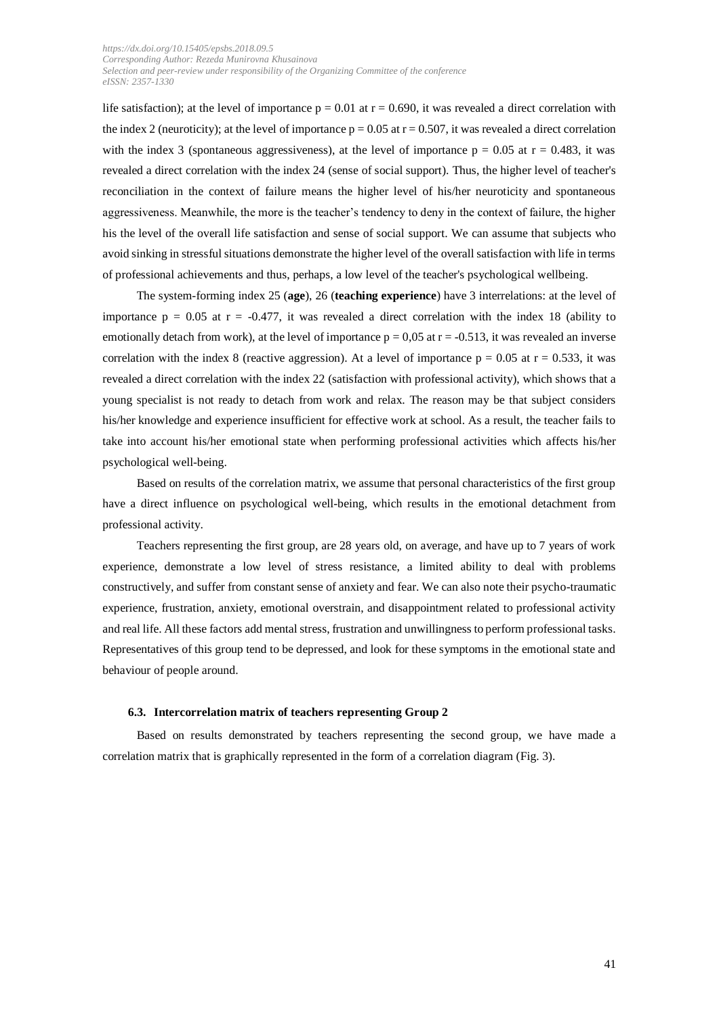life satisfaction); at the level of importance  $p = 0.01$  at  $r = 0.690$ , it was revealed a direct correlation with the index 2 (neuroticity); at the level of importance  $p = 0.05$  at  $r = 0.507$ , it was revealed a direct correlation with the index 3 (spontaneous aggressiveness), at the level of importance  $p = 0.05$  at  $r = 0.483$ , it was revealed a direct correlation with the index 24 (sense of social support). Thus, the higher level of teacher's reconciliation in the context of failure means the higher level of his/her neuroticity and spontaneous aggressiveness. Meanwhile, the more is the teacher's tendency to deny in the context of failure, the higher his the level of the overall life satisfaction and sense of social support. We can assume that subjects who avoid sinking in stressful situations demonstrate the higher level of the overall satisfaction with life in terms of professional achievements and thus, perhaps, a low level of the teacher's psychological wellbeing.

The system-forming index 25 (**age**), 26 (**teaching experience**) have 3 interrelations: at the level of importance  $p = 0.05$  at  $r = -0.477$ , it was revealed a direct correlation with the index 18 (ability to emotionally detach from work), at the level of importance  $p = 0.05$  at  $r = -0.513$ , it was revealed an inverse correlation with the index 8 (reactive aggression). At a level of importance  $p = 0.05$  at  $r = 0.533$ , it was revealed a direct correlation with the index 22 (satisfaction with professional activity), which shows that a young specialist is not ready to detach from work and relax. The reason may be that subject considers his/her knowledge and experience insufficient for effective work at school. As a result, the teacher fails to take into account his/her emotional state when performing professional activities which affects his/her psychological well-being.

Based on results of the correlation matrix, we assume that personal characteristics of the first group have a direct influence on psychological well-being, which results in the emotional detachment from professional activity.

Teachers representing the first group, are 28 years old, on average, and have up to 7 years of work experience, demonstrate a low level of stress resistance, a limited ability to deal with problems constructively, and suffer from constant sense of anxiety and fear. We can also note their psycho-traumatic experience, frustration, anxiety, emotional overstrain, and disappointment related to professional activity and real life. All these factors add mental stress, frustration and unwillingness to perform professional tasks. Representatives of this group tend to be depressed, and look for these symptoms in the emotional state and behaviour of people around.

#### **6.3. Intercorrelation matrix of teachers representing Group 2**

Based on results demonstrated by teachers representing the second group, we have made a correlation matrix that is graphically represented in the form of a correlation diagram (Fig. 3).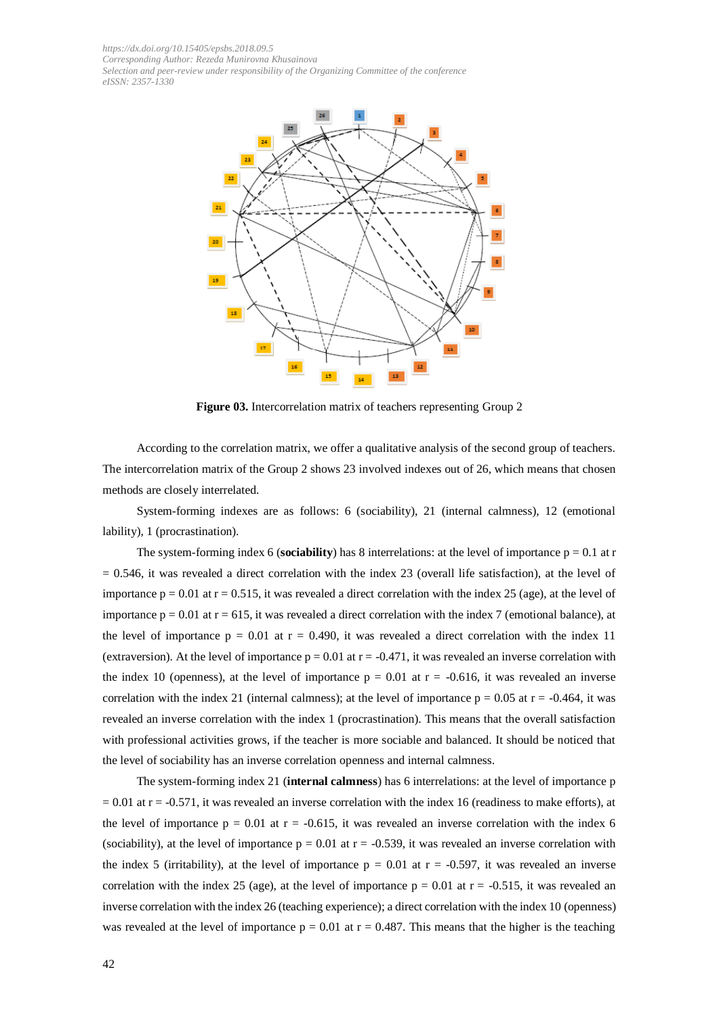

**Figure 03.** Intercorrelation matrix of teachers representing Group 2

According to the correlation matrix, we offer a qualitative analysis of the second group of teachers. The intercorrelation matrix of the Group 2 shows 23 involved indexes out of 26, which means that chosen methods are closely interrelated.

System-forming indexes are as follows: 6 (sociability), 21 (internal calmness), 12 (emotional lability), 1 (procrastination).

The system-forming index 6 (**sociability**) has 8 interrelations: at the level of importance  $p = 0.1$  at r  $= 0.546$ , it was revealed a direct correlation with the index 23 (overall life satisfaction), at the level of importance  $p = 0.01$  at  $r = 0.515$ , it was revealed a direct correlation with the index 25 (age), at the level of importance  $p = 0.01$  at  $r = 615$ , it was revealed a direct correlation with the index 7 (emotional balance), at the level of importance  $p = 0.01$  at  $r = 0.490$ , it was revealed a direct correlation with the index 11 (extraversion). At the level of importance  $p = 0.01$  at  $r = -0.471$ , it was revealed an inverse correlation with the index 10 (openness), at the level of importance  $p = 0.01$  at  $r = -0.616$ , it was revealed an inverse correlation with the index 21 (internal calmness); at the level of importance  $p = 0.05$  at  $r = -0.464$ , it was revealed an inverse correlation with the index 1 (procrastination). This means that the overall satisfaction with professional activities grows, if the teacher is more sociable and balanced. It should be noticed that the level of sociability has an inverse correlation openness and internal calmness.

The system-forming index 21 (**internal calmness**) has 6 interrelations: at the level of importance p  $= 0.01$  at r = -0.571, it was revealed an inverse correlation with the index 16 (readiness to make efforts), at the level of importance  $p = 0.01$  at  $r = -0.615$ , it was revealed an inverse correlation with the index 6 (sociability), at the level of importance  $p = 0.01$  at  $r = -0.539$ , it was revealed an inverse correlation with the index 5 (irritability), at the level of importance  $p = 0.01$  at  $r = -0.597$ , it was revealed an inverse correlation with the index 25 (age), at the level of importance  $p = 0.01$  at  $r = -0.515$ , it was revealed an inverse correlation with the index 26 (teaching experience); a direct correlation with the index 10 (openness) was revealed at the level of importance  $p = 0.01$  at  $r = 0.487$ . This means that the higher is the teaching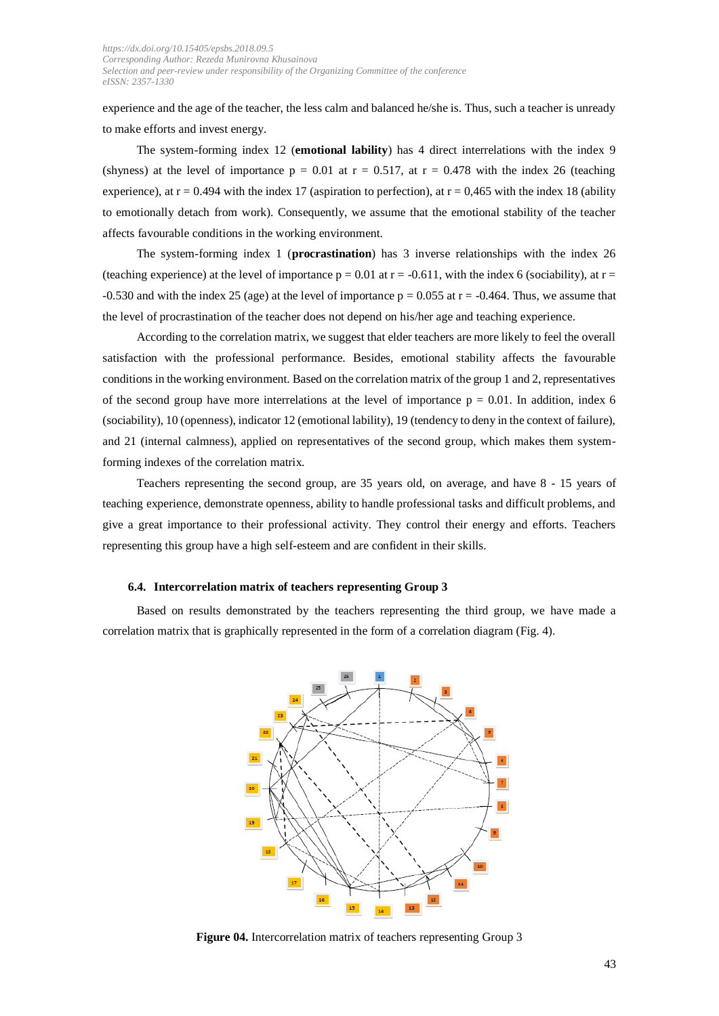experience and the age of the teacher, the less calm and balanced he/she is. Thus, such a teacher is unready to make efforts and invest energy.

The system-forming index 12 (**emotional lability**) has 4 direct interrelations with the index 9 (shyness) at the level of importance  $p = 0.01$  at  $r = 0.517$ , at  $r = 0.478$  with the index 26 (teaching experience), at  $r = 0.494$  with the index 17 (aspiration to perfection), at  $r = 0.465$  with the index 18 (ability to emotionally detach from work). Consequently, we assume that the emotional stability of the teacher affects favourable conditions in the working environment.

The system-forming index 1 (**procrastination**) has 3 inverse relationships with the index 26 (teaching experience) at the level of importance  $p = 0.01$  at  $r = -0.611$ , with the index 6 (sociability), at  $r =$ -0.530 and with the index 25 (age) at the level of importance  $p = 0.055$  at  $r = -0.464$ . Thus, we assume that the level of procrastination of the teacher does not depend on his/her age and teaching experience.

According to the correlation matrix, we suggest that elder teachers are more likely to feel the overall satisfaction with the professional performance. Besides, emotional stability affects the favourable conditions in the working environment. Based on the correlation matrix of the group 1 and 2, representatives of the second group have more interrelations at the level of importance  $p = 0.01$ . In addition, index 6 (sociability), 10 (openness), indicator 12 (emotional lability), 19 (tendency to deny in the context of failure), and 21 (internal calmness), applied on representatives of the second group, which makes them systemforming indexes of the correlation matrix.

Teachers representing the second group, are 35 years old, on average, and have 8 - 15 years of teaching experience, demonstrate openness, ability to handle professional tasks and difficult problems, and give a great importance to their professional activity. They control their energy and efforts. Teachers representing this group have a high self-esteem and are confident in their skills.

#### **6.4. Intercorrelation matrix of teachers representing Group 3**

Based on results demonstrated by the teachers representing the third group, we have made a correlation matrix that is graphically represented in the form of a correlation diagram (Fig. 4).



**Figure 04.** Intercorrelation matrix of teachers representing Group 3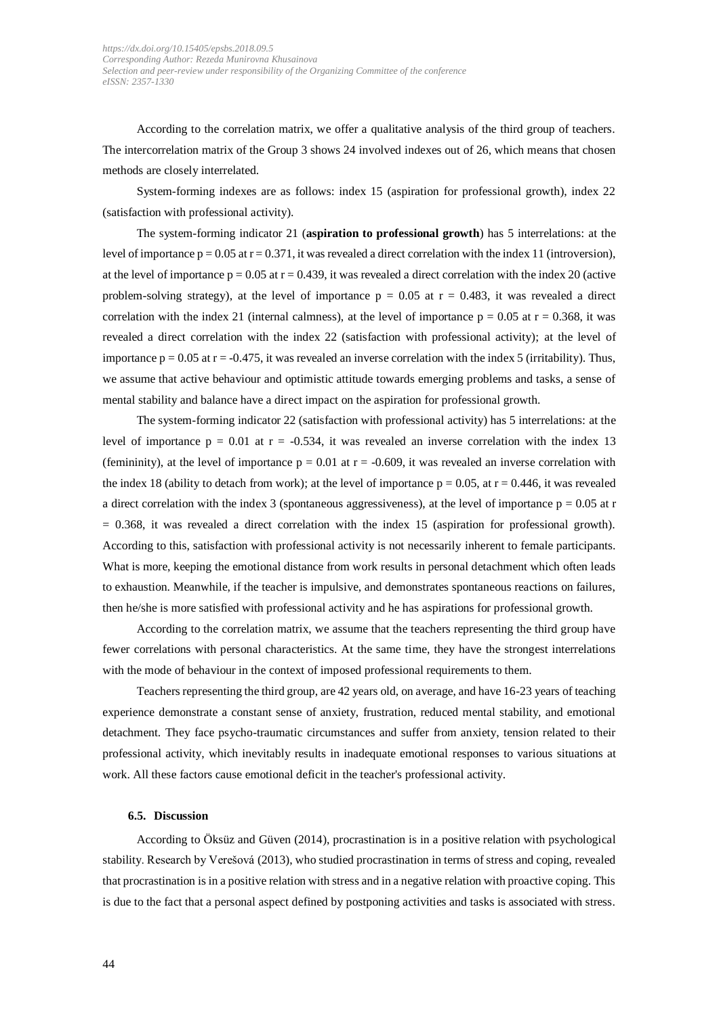According to the correlation matrix, we offer a qualitative analysis of the third group of teachers. The intercorrelation matrix of the Group 3 shows 24 involved indexes out of 26, which means that chosen methods are closely interrelated.

System-forming indexes are as follows: index 15 (aspiration for professional growth), index 22 (satisfaction with professional activity).

The system-forming indicator 21 (**aspiration to professional growth**) has 5 interrelations: at the level of importance  $p = 0.05$  at  $r = 0.371$ , it was revealed a direct correlation with the index 11 (introversion), at the level of importance  $p = 0.05$  at  $r = 0.439$ , it was revealed a direct correlation with the index 20 (active problem-solving strategy), at the level of importance  $p = 0.05$  at  $r = 0.483$ , it was revealed a direct correlation with the index 21 (internal calmness), at the level of importance  $p = 0.05$  at  $r = 0.368$ , it was revealed a direct correlation with the index 22 (satisfaction with professional activity); at the level of importance  $p = 0.05$  at  $r = -0.475$ , it was revealed an inverse correlation with the index 5 (irritability). Thus, we assume that active behaviour and optimistic attitude towards emerging problems and tasks, a sense of mental stability and balance have a direct impact on the aspiration for professional growth.

The system-forming indicator 22 (satisfaction with professional activity) has 5 interrelations: at the level of importance  $p = 0.01$  at  $r = -0.534$ , it was revealed an inverse correlation with the index 13 (femininity), at the level of importance  $p = 0.01$  at  $r = -0.609$ , it was revealed an inverse correlation with the index 18 (ability to detach from work); at the level of importance  $p = 0.05$ , at  $r = 0.446$ , it was revealed a direct correlation with the index 3 (spontaneous aggressiveness), at the level of importance  $p = 0.05$  at r  $= 0.368$ , it was revealed a direct correlation with the index 15 (aspiration for professional growth). According to this, satisfaction with professional activity is not necessarily inherent to female participants. What is more, keeping the emotional distance from work results in personal detachment which often leads to exhaustion. Meanwhile, if the teacher is impulsive, and demonstrates spontaneous reactions on failures, then he/she is more satisfied with professional activity and he has aspirations for professional growth.

According to the correlation matrix, we assume that the teachers representing the third group have fewer correlations with personal characteristics. At the same time, they have the strongest interrelations with the mode of behaviour in the context of imposed professional requirements to them.

Teachers representing the third group, are 42 years old, on average, and have 16-23 years of teaching experience demonstrate a constant sense of anxiety, frustration, reduced mental stability, and emotional detachment. They face psycho-traumatic circumstances and suffer from anxiety, tension related to their professional activity, which inevitably results in inadequate emotional responses to various situations at work. All these factors cause emotional deficit in the teacher's professional activity.

#### **6.5. Discussion**

According to Öksüz and Güven (2014), procrastination is in a positive relation with psychological stability. Research by Verešová (2013), who studied procrastination in terms of stress and coping, revealed that procrastination is in a positive relation with stress and in a negative relation with proactive coping. This is due to the fact that a personal aspect defined by postponing activities and tasks is associated with stress.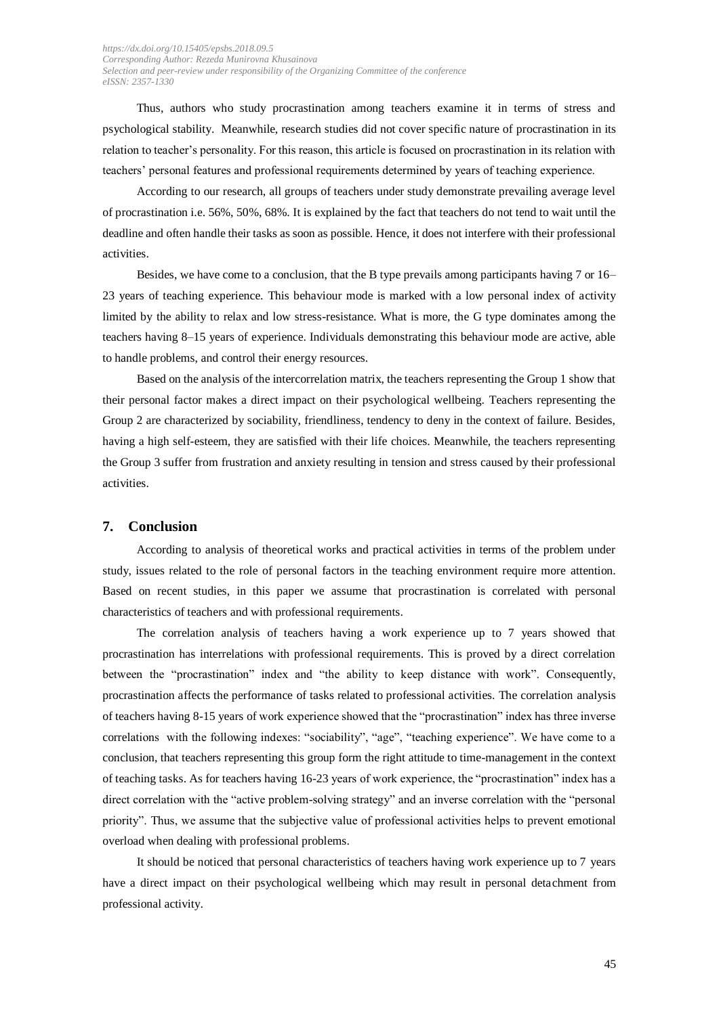Thus, authors who study procrastination among teachers examine it in terms of stress and psychological stability. Meanwhile, research studies did not cover specific nature of procrastination in its relation to teacher's personality. For this reason, this article is focused on procrastination in its relation with teachers' personal features and professional requirements determined by years of teaching experience.

According to our research, all groups of teachers under study demonstrate prevailing average level of procrastination i.e. 56%, 50%, 68%. It is explained by the fact that teachers do not tend to wait until the deadline and often handle their tasks as soon as possible. Hence, it does not interfere with their professional activities.

Besides, we have come to a conclusion, that the B type prevails among participants having  $7$  or  $16-$ 23 years of teaching experience. This behaviour mode is marked with a low personal index of activity limited by the ability to relax and low stress-resistance. What is more, the G type dominates among the teachers having 8–15 years of experience. Individuals demonstrating this behaviour mode are active, able to handle problems, and control their energy resources.

Based on the analysis of the intercorrelation matrix, the teachers representing the Group 1 show that their personal factor makes a direct impact on their psychological wellbeing. Teachers representing the Group 2 are characterized by sociability, friendliness, tendency to deny in the context of failure. Besides, having a high self-esteem, they are satisfied with their life choices. Meanwhile, the teachers representing the Group 3 suffer from frustration and anxiety resulting in tension and stress caused by their professional activities.

### **7. Conclusion**

According to analysis of theoretical works and practical activities in terms of the problem under study, issues related to the role of personal factors in the teaching environment require more attention. Based on recent studies, in this paper we assume that procrastination is correlated with personal characteristics of teachers and with professional requirements.

The correlation analysis of teachers having a work experience up to 7 years showed that procrastination has interrelations with professional requirements. This is proved by a direct correlation between the "procrastination" index and "the ability to keep distance with work". Consequently, procrastination affects the performance of tasks related to professional activities. The correlation analysis of teachers having 8-15 years of work experience showed that the "procrastination" index has three inverse correlations with the following indexes: "sociability", "age", "teaching experience". We have come to a conclusion, that teachers representing this group form the right attitude to time-management in the context of teaching tasks. As for teachers having 16-23 years of work experience, the "procrastination" index has a direct correlation with the "active problem-solving strategy" and an inverse correlation with the "personal priority". Thus, we assume that the subjective value of professional activities helps to prevent emotional overload when dealing with professional problems.

It should be noticed that personal characteristics of teachers having work experience up to 7 years have a direct impact on their psychological wellbeing which may result in personal detachment from professional activity.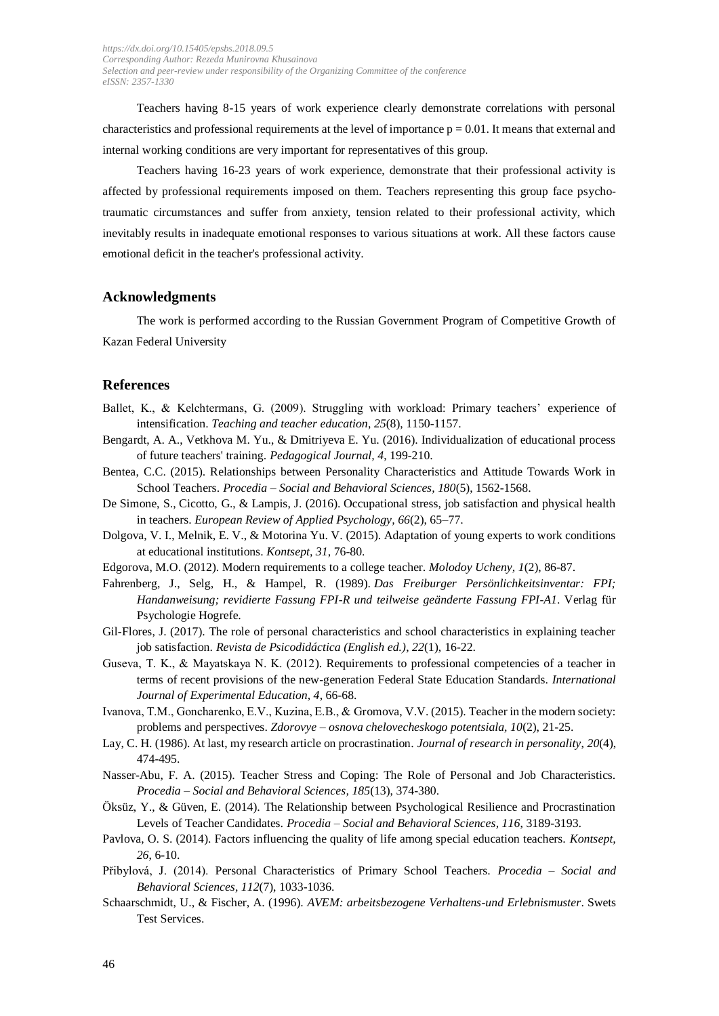Teachers having 8-15 years of work experience clearly demonstrate correlations with personal characteristics and professional requirements at the level of importance  $p = 0.01$ . It means that external and internal working conditions are very important for representatives of this group.

Teachers having 16-23 years of work experience, demonstrate that their professional activity is affected by professional requirements imposed on them. Teachers representing this group face psychotraumatic circumstances and suffer from anxiety, tension related to their professional activity, which inevitably results in inadequate emotional responses to various situations at work. All these factors cause emotional deficit in the teacher's professional activity.

#### **Acknowledgments**

The work is performed according to the Russian Government Program of Competitive Growth of Kazan Federal University

#### **References**

- Ballet, K., & Kelchtermans, G. (2009). Struggling with workload: Primary teachers' experience of intensification. *Teaching and teacher education*, *25*(8), 1150-1157.
- Bengardt, A. A., Vetkhova M. Yu., & Dmitriyeva E. Yu. (2016). Individualization of educational process of future teachers' training. *Pedagogical Journal, 4*, 199-210.
- [Bentea,](http://www.sciencedirect.com/science/article/pii/S1877042815016535) C.C. (2015). Relationships between Personality Characteristics and Attitude Towards Work in School Teachers. *Procedia – Social and Behavioral Sciences, 180*(5), 1562-1568.
- De [Simone,](http://www.sciencedirect.com/science/article/pii/S1162908816300044) S., [Cicotto,](http://www.sciencedirect.com/science/article/pii/S1162908816300044) G., & [Lampis,](http://www.sciencedirect.com/science/article/pii/S1162908816300044) J. (2016). Occupational stress, job satisfaction and physical health in teachers. *European Review of Applied [Psychology,](http://www.sciencedirect.com/science/journal/11629088) 66*[\(2\)](http://www.sciencedirect.com/science/journal/11629088/66/2), 65–77.
- Dolgova, V. I., Melnik, E. V., & Motorina Yu. V. (2015). Adaptation of young experts to work conditions at educational institutions. *Kontsept, 31*, 76-80.
- Edgorova, M.O. (2012). Modern requirements to a college teacher. *Molodoy Ucheny, 1*(2), 86-87.
- Fahrenberg, J., Selg, H., & Hampel, R. (1989). *Das Freiburger Persönlichkeitsinventar: FPI; Handanweisung; revidierte Fassung FPI-R und teilweise geänderte Fassung FPI-A1*. Verlag für Psychologie Hogrefe.
- Gil-Flores, J. (2017). The role of personal characteristics and school characteristics in explaining teacher job satisfaction. *Revista de Psicodidáctica (English ed.)*, *22*(1), 16-22.
- Guseva, T. K., & Mayatskaya N. K. (2012). Requirements to professional competencies of a teacher in terms of recent provisions of the new-generation Federal State Education Standards. *International Journal of Experimental Education, 4*, 66-68.
- Ivanova, Т.М., Goncharenko, Е.V., Kuzina, Е.B., & Gromova, V.V. (2015). Teacher in the modern society: problems and perspectives. *Zdorovye – osnova chelovecheskogo potentsiala, 10*(2), 21-25.
- Lay, C. H. (1986). At last, my research article on procrastination. *Journal of research in personality*, *20*(4), 474-495.
- Nasser-Abu, F. A. (2015). Teacher Stress and Coping: The Role of Personal and Job Characteristics. *Procedia – [Social and Behavioral Sciences,](http://www.sciencedirect.com/science/journal/18770428) [185](http://www.sciencedirect.com/science/journal/18770428/185/supp/C)*(13), 374-380.
- Öksüz, Y., & Güven, E. (2014). The Relationship between Psychological Resilience and Procrastination Levels of Teacher Candidates. *Procedia – Social and Behavioral Sciences, 116*, 3189-3193.
- Pavlova, O. S. (2014). Factors influencing the quality of life among special education teachers. *Kontsept, 26*, 6-10.
- Přibylová, J. (2014). Personal Characteristics of Primary School Teachers. *Procedia – [Social and](http://www.sciencedirect.com/science/journal/18770428)  [Behavioral Sciences,](http://www.sciencedirect.com/science/journal/18770428) [112](http://www.sciencedirect.com/science/journal/18770428/112/supp/C)*(7), 1033-1036.
- Schaarschmidt, U., & Fischer, A. (1996). *AVEM: arbeitsbezogene Verhaltens-und Erlebnismuster*. Swets Test Services.